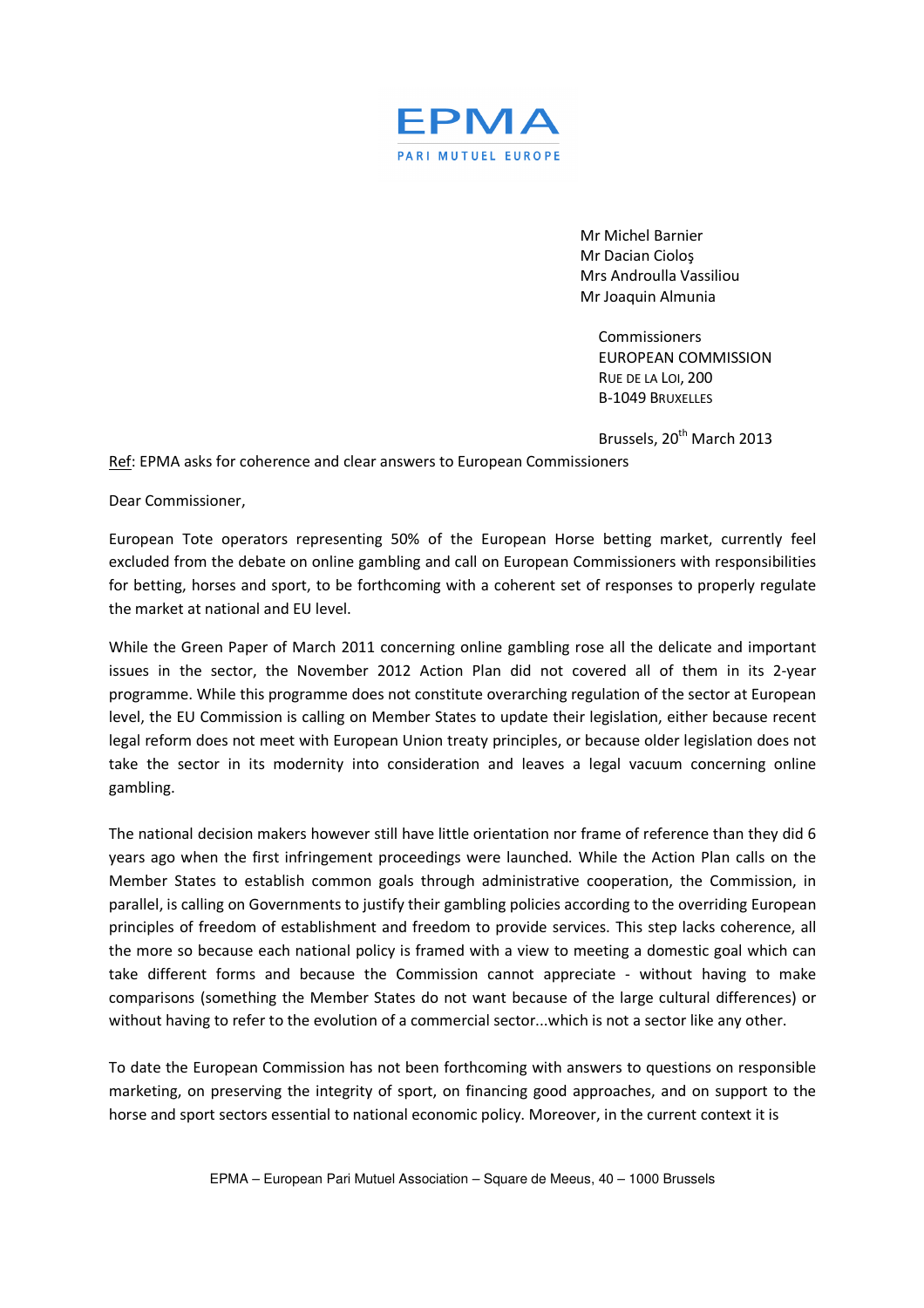

Mr Michel Barnier Mr Dacian Cioloş Mrs Androulla Vassiliou Mr Joaquin Almunia

> **Commissioners** EUROPEAN COMMISSION RUE DE LA LOI, 200 B-1049 BRUXELLES

Brussels, 20<sup>th</sup> March 2013

Ref: EPMA asks for coherence and clear answers to European Commissioners

Dear Commissioner,

European Tote operators representing 50% of the European Horse betting market, currently feel excluded from the debate on online gambling and call on European Commissioners with responsibilities for betting, horses and sport, to be forthcoming with a coherent set of responses to properly regulate the market at national and EU level.

While the Green Paper of March 2011 concerning online gambling rose all the delicate and important issues in the sector, the November 2012 Action Plan did not covered all of them in its 2-year programme. While this programme does not constitute overarching regulation of the sector at European level, the EU Commission is calling on Member States to update their legislation, either because recent legal reform does not meet with European Union treaty principles, or because older legislation does not take the sector in its modernity into consideration and leaves a legal vacuum concerning online gambling.

The national decision makers however still have little orientation nor frame of reference than they did 6 years ago when the first infringement proceedings were launched. While the Action Plan calls on the Member States to establish common goals through administrative cooperation, the Commission, in parallel, is calling on Governments to justify their gambling policies according to the overriding European principles of freedom of establishment and freedom to provide services. This step lacks coherence, all the more so because each national policy is framed with a view to meeting a domestic goal which can take different forms and because the Commission cannot appreciate - without having to make comparisons (something the Member States do not want because of the large cultural differences) or without having to refer to the evolution of a commercial sector...which is not a sector like any other.

To date the European Commission has not been forthcoming with answers to questions on responsible marketing, on preserving the integrity of sport, on financing good approaches, and on support to the horse and sport sectors essential to national economic policy. Moreover, in the current context it is